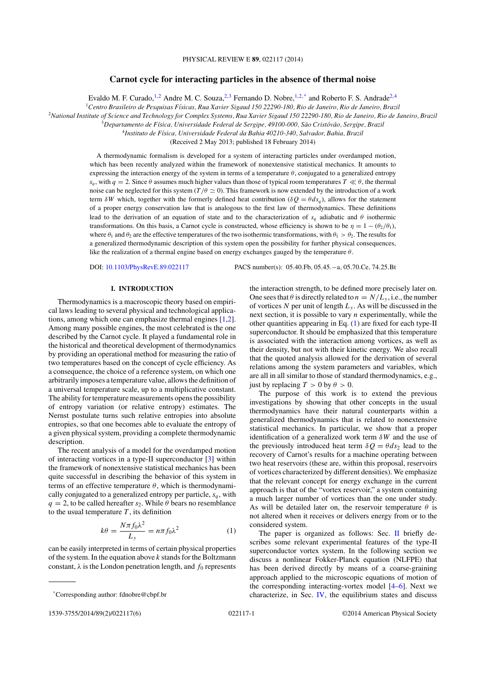# **Carnot cycle for interacting particles in the absence of thermal noise**

Evaldo M. F. Curado, <sup>1,2</sup> Andre M. C. Souza, <sup>2,3</sup> Fernando D. Nobre, <sup>1,2,\*</sup> and Roberto F. S. Andrade<sup>2,4</sup>

<sup>1</sup>*Centro Brasileiro de Pesquisas F´ısicas, Rua Xavier Sigaud 150 22290-180, Rio de Janeiro, Rio de Janeiro, Brazil*

<sup>2</sup>*National Institute of Science and Technology for Complex Systems, Rua Xavier Sigaud 150 22290-180, Rio de Janeiro, Rio de Janeiro, Brazil*

<sup>3</sup>*Departamento de F´ısica, Universidade Federal de Sergipe, 49100-000, Sao Crist ˜ ov´ ao, Sergipe, Brazil ˜*

<sup>4</sup>*Instituto de F´ısica, Universidade Federal da Bahia 40210-340, Salvador, Bahia, Brazil*

(Received 2 May 2013; published 18 February 2014)

A thermodynamic formalism is developed for a system of interacting particles under overdamped motion, which has been recently analyzed within the framework of nonextensive statistical mechanics. It amounts to expressing the interaction energy of the system in terms of a temperature  $\theta$ , conjugated to a generalized entropy  $s_q$ , with  $q = 2$ . Since  $\theta$  assumes much higher values than those of typical room temperatures  $T \ll \theta$ , the thermal noise can be neglected for this system  $(T/\theta \approx 0)$ . This framework is now extended by the introduction of a work term  $\delta W$  which, together with the formerly defined heat contribution ( $\delta Q = \theta ds_a$ ), allows for the statement of a proper energy conservation law that is analogous to the first law of thermodynamics. These definitions lead to the derivation of an equation of state and to the characterization of  $s_q$  adiabatic and  $\theta$  isothermic transformations. On this basis, a Carnot cycle is constructed, whose efficiency is shown to be  $\eta = 1 - (\theta_2/\theta_1)$ , where  $\theta_1$  and  $\theta_2$  are the effective temperatures of the two isothermic transformations, with  $\theta_1 > \theta_2$ . The results for a generalized thermodynamic description of this system open the possibility for further physical consequences, like the realization of a thermal engine based on energy exchanges gauged by the temperature  $\theta$ .

DOI: 10.1103/PhysRevE.89.022117 PACS number(s): 05.40.Fb, 05.45.−a, 05.70.Ce, 74.25.Bt

# **I. INTRODUCTION**

Thermodynamics is a macroscopic theory based on empirical laws leading to several physical and technological applications, among which one can emphasize thermal engines [1,2]. Among many possible engines, the most celebrated is the one described by the Carnot cycle. It played a fundamental role in the historical and theoretical development of thermodynamics by providing an operational method for measuring the ratio of two temperatures based on the concept of cycle efficiency. As a consequence, the choice of a reference system, on which one arbitrarily imposes a temperature value, allows the definition of a universal temperature scale, up to a multiplicative constant. The ability for temperature measurements opens the possibility of entropy variation (or relative entropy) estimates. The Nernst postulate turns such relative entropies into absolute entropies, so that one becomes able to evaluate the entropy of a given physical system, providing a complete thermodynamic description.

The recent analysis of a model for the overdamped motion of interacting vortices in a type-II superconductor [3] within the framework of nonextensive statistical mechanics has been quite successful in describing the behavior of this system in terms of an effective temperature  $\theta$ , which is thermodynamically conjugated to a generalized entropy per particle,  $s_q$ , with  $q = 2$ , to be called hereafter s<sub>2</sub>. While  $\theta$  bears no resemblance to the usual temperature  $T$ , its definition

$$
k\theta = \frac{N\pi f_0 \lambda^2}{L_y} = n\pi f_0 \lambda^2 \tag{1}
$$

can be easily interpreted in terms of certain physical properties of the system. In the equation above  $k$  stands for the Boltzmann constant,  $\lambda$  is the London penetration length, and  $f_0$  represents

the interaction strength, to be defined more precisely later on. One sees that  $\theta$  is directly related to  $n = N/L_v$ , i.e., the number of vortices N per unit of length  $L<sub>y</sub>$ . As will be discussed in the next section, it is possible to vary  $n$  experimentally, while the other quantities appearing in Eq. (1) are fixed for each type-II superconductor. It should be emphasized that this temperature is associated with the interaction among vortices, as well as their density, but not with their kinetic energy. We also recall that the quoted analysis allowed for the derivation of several relations among the system parameters and variables, which are all in all similar to those of standard thermodynamics, e.g., just by replacing  $T > 0$  by  $\theta > 0$ .

The purpose of this work is to extend the previous investigations by showing that other concepts in the usual thermodynamics have their natural counterparts within a generalized thermodynamics that is related to nonextensive statistical mechanics. In particular, we show that a proper identification of a generalized work term  $\delta W$  and the use of the previously introduced heat term  $\delta Q = \theta ds_2$  lead to the recovery of Carnot's results for a machine operating between two heat reservoirs (these are, within this proposal, reservoirs of vortices characterized by different densities). We emphasize that the relevant concept for energy exchange in the current approach is that of the "vortex reservoir," a system containing a much larger number of vortices than the one under study. As will be detailed later on, the reservoir temperature  $\theta$  is not altered when it receives or delivers energy from or to the considered system.

The paper is organized as follows: Sec. II briefly describes some relevant experimental features of the type-II superconductor vortex system. In the following section we discuss a nonlinear Fokker-Planck equation (NLFPE) that has been derived directly by means of a coarse-graining approach applied to the microscopic equations of motion of the corresponding interacting-vortex model [4–6]. Next we characterize, in Sec. IV, the equilibrium states and discuss

<sup>\*</sup>Corresponding author: fdnobre@cbpf.br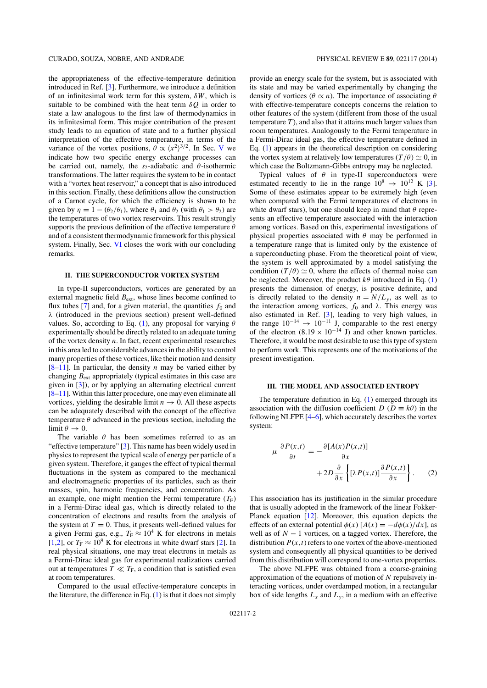the appropriateness of the effective-temperature definition introduced in Ref. [3]. Furthermore, we introduce a definition of an infinitesimal work term for this system,  $\delta W$ , which is suitable to be combined with the heat term  $\delta O$  in order to state a law analogous to the first law of thermodynamics in its infinitesimal form. This major contribution of the present study leads to an equation of state and to a further physical interpretation of the effective temperature, in terms of the variance of the vortex positions,  $\theta \propto \langle x^2 \rangle^{3/2}$ . In Sec. V we indicate how two specific energy exchange processes can be carried out, namely, the  $s_2$ -adiabatic and  $\theta$ -isothermic transformations. The latter requires the system to be in contact with a "vortex heat reservoir," a concept that is also introduced in this section. Finally, these definitions allow the construction of a Carnot cycle, for which the efficiency is shown to be given by  $\eta = 1 - (\theta_2/\theta_1)$ , where  $\theta_1$  and  $\theta_2$  (with  $\theta_1 > \theta_2$ ) are the temperatures of two vortex reservoirs. This result strongly supports the previous definition of the effective temperature  $\theta$ and of a consistent thermodynamic framework for this physical system. Finally, Sec. VI closes the work with our concluding remarks.

# **II. THE SUPERCONDUCTOR VORTEX SYSTEM**

In type-II superconductors, vortices are generated by an external magnetic field  $B_{ext}$ , whose lines become confined to flux tubes [7] and, for a given material, the quantities  $f_0$  and λ (introduced in the previous section) present well-defined values. So, according to Eq. (1), any proposal for varying  $\theta$ experimentally should be directly related to an adequate tuning of the vortex density  $n$ . In fact, recent experimental researches in this area led to considerable advances in the ability to control many properties of these vortices, like their motion and density  $[8-11]$ . In particular, the density *n* may be varied either by changing  $B_{\text{ext}}$  appropriately (typical estimates in this case are given in [3]), or by applying an alternating electrical current [8–11]. Within this latter procedure, one may even eliminate all vortices, yielding the desirable limit  $n \to 0$ . All these aspects can be adequately described with the concept of the effective temperature  $\theta$  advanced in the previous section, including the limit  $\theta \to 0$ .

The variable  $\theta$  has been sometimes referred to as an "effective temperature" [3]. This name has been widely used in physics to represent the typical scale of energy per particle of a given system. Therefore, it gauges the effect of typical thermal fluctuations in the system as compared to the mechanical and electromagnetic properties of its particles, such as their masses, spin, harmonic frequencies, and concentration. As an example, one might mention the Fermi temperature  $(T_F)$ in a Fermi-Dirac ideal gas, which is directly related to the concentration of electrons and results from the analysis of the system at  $T = 0$ . Thus, it presents well-defined values for a given Fermi gas, e.g.,  $T_F \approx 10^4$  K for electrons in metals [1,2], or  $T_F \approx 10^9$  K for electrons in white dwarf stars [2]. In real physical situations, one may treat electrons in metals as a Fermi-Dirac ideal gas for experimental realizations carried out at temperatures  $T \ll T_F$ , a condition that is satisfied even at room temperatures.

Compared to the usual effective-temperature concepts in the literature, the difference in Eq.  $(1)$  is that it does not simply provide an energy scale for the system, but is associated with its state and may be varied experimentally by changing the density of vortices ( $\theta \propto n$ ). The importance of associating  $\theta$ with effective-temperature concepts concerns the relation to other features of the system (different from those of the usual temperature  $T$ ), and also that it attains much larger values than room temperatures. Analogously to the Fermi temperature in a Fermi-Dirac ideal gas, the effective temperature defined in Eq. (1) appears in the theoretical description on considering the vortex system at relatively low temperatures ( $T/\theta$ )  $\approx$  0, in which case the Boltzmann-Gibbs entropy may be neglected.

Typical values of  $\theta$  in type-II superconductors were estimated recently to lie in the range  $10^8 \rightarrow 10^{12}$  K [3]. Some of these estimates appear to be extremely high (even when compared with the Fermi temperatures of electrons in white dwarf stars), but one should keep in mind that  $\theta$  represents an effective temperature associated with the interaction among vortices. Based on this, experimental investigations of physical properties associated with  $\theta$  may be performed in a temperature range that is limited only by the existence of a superconducting phase. From the theoretical point of view, the system is well approximated by a model satisfying the condition  $(T/\theta) \simeq 0$ , where the effects of thermal noise can be neglected. Moreover, the product  $k\theta$  introduced in Eq. (1) presents the dimension of energy, is positive definite, and is directly related to the density  $n = N/L_v$ , as well as to the interaction among vortices,  $f_0$  and  $\lambda$ . This energy was also estimated in Ref. [3], leading to very high values, in the range  $10^{-14} \rightarrow 10^{-11}$  J, comparable to the rest energy of the electron  $(8.19 \times 10^{-14} \text{ J})$  and other known particles. Therefore, it would be most desirable to use this type of system to perform work. This represents one of the motivations of the present investigation.

#### **III. THE MODEL AND ASSOCIATED ENTROPY**

The temperature definition in Eq. (1) emerged through its association with the diffusion coefficient D ( $D \equiv k\theta$ ) in the following NLFPE [4–6], which accurately describes the vortex system:

$$
\mu \frac{\partial P(x,t)}{\partial t} = -\frac{\partial [A(x)P(x,t)]}{\partial x} + 2D \frac{\partial}{\partial x} \left\{ [\lambda P(x,t)] \frac{\partial P(x,t)}{\partial x} \right\}.
$$
 (2)

This association has its justification in the similar procedure that is usually adopted in the framework of the linear Fokker-Planck equation [12]. Moreover, this equation depicts the effects of an external potential  $\phi(x)$  [ $A(x) = -d\phi(x)/dx$ ], as well as of  $N - 1$  vortices, on a tagged vortex. Therefore, the distribution  $P(x,t)$  refers to one vortex of the above-mentioned system and consequently all physical quantities to be derived from this distribution will correspond to one-vortex properties.

The above NLFPE was obtained from a coarse-graining approximation of the equations of motion of N repulsively interacting vortices, under overdamped motion, in a rectangular box of side lengths  $L_x$  and  $L_y$ , in a medium with an effective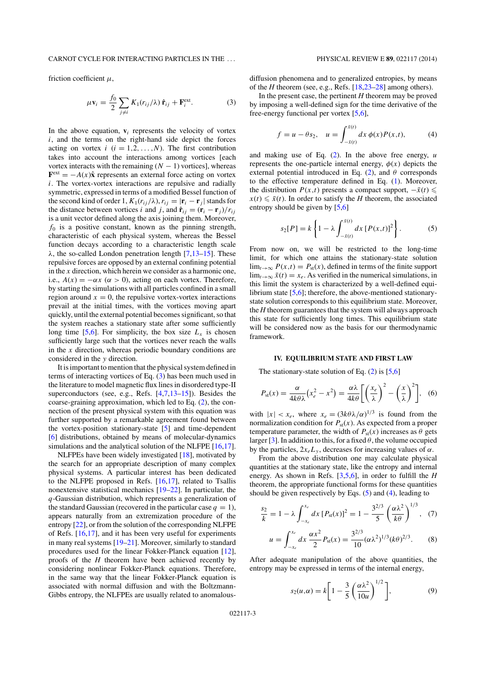# CARNOT CYCLE FOR INTERACTING PARTICLES IN THE . . . PHYSICAL REVIEW E **89**, 022117 (2014)

friction coefficient  $\mu$ ,

$$
\mu \mathbf{v}_i = \frac{f_0}{2} \sum_{j \neq i} K_1(r_{ij}/\lambda) \hat{\mathbf{r}}_{ij} + \mathbf{F}_i^{\text{ext}}.
$$
 (3)

In the above equation,  $v_i$  represents the velocity of vortex  $i$ , and the terms on the right-hand side depict the forces acting on vortex  $i$   $(i = 1, 2, ..., N)$ . The first contribution takes into account the interactions among vortices [each vortex interacts with the remaining  $(N - 1)$  vortices], whereas  $\mathbf{F}^{\text{ext}} = -A(x)\hat{\mathbf{x}}$  represents an external force acting on vortex  $i$ . The vortex-vortex interactions are repulsive and radially symmetric, expressed in terms of a modified Bessel function of the second kind of order 1,  $K_1(r_{ij}/\lambda)$ ,  $r_{ij} = |\mathbf{r}_i - \mathbf{r}_j|$  stands for the distance between vortices i and j, and  $\hat{\mathbf{r}}_{ij} = (\mathbf{r}_i - \mathbf{r}_j)/r_{ij}$ is a unit vector defined along the axis joining them. Moreover,  $f_0$  is a positive constant, known as the pinning strength, characteristic of each physical system, whereas the Bessel function decays according to a characteristic length scale  $\lambda$ , the so-called London penetration length [7,13–15]. These repulsive forces are opposed by an external confining potential in the  $x$  direction, which herein we consider as a harmonic one, i.e.,  $A(x) = -\alpha x$  ( $\alpha > 0$ ), acting on each vortex. Therefore, by starting the simulations with all particles confined in a small region around  $x = 0$ , the repulsive vortex-vortex interactions prevail at the initial times, with the vortices moving apart quickly, until the external potential becomes significant, so that the system reaches a stationary state after some sufficiently long time [5,6]. For simplicity, the box size  $L<sub>x</sub>$  is chosen sufficiently large such that the vortices never reach the walls in the  $x$  direction, whereas periodic boundary conditions are considered in the y direction.

It is important to mention that the physical system defined in terms of interacting vortices of Eq. (3) has been much used in the literature to model magnetic flux lines in disordered type-II superconductors (see, e.g., Refs. [4,7,13–15]). Besides the coarse-graining approximation, which led to Eq. (2), the connection of the present physical system with this equation was further supported by a remarkable agreement found between the vortex-position stationary-state [5] and time-dependent [6] distributions, obtained by means of molecular-dynamics simulations and the analytical solution of the NLFPE [16,17].

NLFPEs have been widely investigated [18], motivated by the search for an appropriate description of many complex physical systems. A particular interest has been dedicated to the NLFPE proposed in Refs. [16,17], related to Tsallis nonextensive statistical mechanics [19–22]. In particular, the q-Gaussian distribution, which represents a generalization of the standard Gaussian (recovered in the particular case  $q = 1$ ), appears naturally from an extremization procedure of the entropy [22], or from the solution of the corresponding NLFPE of Refs. [16,17], and it has been very useful for experiments in many real systems [19–21]. Moreover, similarly to standard procedures used for the linear Fokker-Planck equation [12], proofs of the *H* theorem have been achieved recently by considering nonlinear Fokker-Planck equations. Therefore, in the same way that the linear Fokker-Planck equation is associated with normal diffusion and with the Boltzmann-Gibbs entropy, the NLFPEs are usually related to anomalous-

diffusion phenomena and to generalized entropies, by means of the *H* theorem (see, e.g., Refs. [18,23–28] among others).

In the present case, the pertinent *H* theorem may be proved by imposing a well-defined sign for the time derivative of the free-energy functional per vortex [5,6],

$$
f = u - \theta s_2, \quad u = \int_{-\bar{x}(t)}^{\bar{x}(t)} dx \, \phi(x) P(x, t), \tag{4}
$$

and making use of Eq.  $(2)$ . In the above free energy, u represents the one-particle internal energy,  $\phi(x)$  depicts the external potential introduced in Eq. (2), and  $\theta$  corresponds to the effective temperature defined in Eq. (1). Moreover, the distribution  $P(x,t)$  presents a compact support,  $-\bar{x}(t) \leq$  $x(t) \leq \bar{x}(t)$ . In order to satisfy the *H* theorem, the associated entropy should be given by [5,6]

$$
s_2[P] = k \left\{ 1 - \lambda \int_{-\bar{x}(t)}^{\bar{x}(t)} dx \left[ P(x,t) \right]^2 \right\}.
$$
 (5)

From now on, we will be restricted to the long-time limit, for which one attains the stationary-state solution  $\lim_{t\to\infty} P(x,t) = P_{st}(x)$ , defined in terms of the finite support  $\lim_{t\to\infty} \bar{x}(t) = x_e$ . As verified in the numerical simulations, in this limit the system is characterized by a well-defined equilibrium state [5,6]; therefore, the above-mentioned stationarystate solution corresponds to this equilibrium state. Moreover, the *H* theorem guarantees that the system will always approach this state for sufficiently long times. This equilibrium state will be considered now as the basis for our thermodynamic framework.

# **IV. EQUILIBRIUM STATE AND FIRST LAW**

The stationary-state solution of Eq.  $(2)$  is [5,6]

$$
P_{\rm st}(x) = \frac{\alpha}{4k\theta\lambda} \left(x_e^2 - x^2\right) = \frac{\alpha\lambda}{4k\theta} \left[ \left(\frac{x_e}{\lambda}\right)^2 - \left(\frac{x}{\lambda}\right)^2 \right], \tag{6}
$$

with  $|x| < x_e$ , where  $x_e = (3k\theta\lambda/\alpha)^{1/3}$  is found from the normalization condition for  $P_{st}(x)$ . As expected from a proper temperature parameter, the width of  $P_{st}(x)$  increases as  $\theta$  gets larger [3]. In addition to this, for a fixed  $\theta$ , the volume occupied by the particles,  $2x_eL_y$ , decreases for increasing values of  $\alpha$ .

From the above distribution one may calculate physical quantities at the stationary state, like the entropy and internal energy. As shown in Refs. [3,5,6], in order to fulfill the *H* theorem, the appropriate functional forms for these quantities should be given respectively by Eqs.  $(5)$  and  $(4)$ , leading to

$$
\frac{s_2}{k} = 1 - \lambda \int_{-x_e}^{x_e} dx \left[ P_{\rm st}(x) \right]^2 = 1 - \frac{3^{2/3}}{5} \left( \frac{\alpha \lambda^2}{k \theta} \right)^{1/3}, \tag{7}
$$

$$
u = \int_{-x_e}^{x_e} dx \, \frac{\alpha x^2}{2} P_{\text{st}}(x) = \frac{3^{2/3}}{10} (\alpha \lambda^2)^{1/3} (k \theta)^{2/3}.
$$
 (8)

After adequate manipulation of the above quantities, the entropy may be expressed in terms of the internal energy,

$$
s_2(u,\alpha) = k \left[ 1 - \frac{3}{5} \left( \frac{\alpha \lambda^2}{10u} \right)^{1/2} \right],\tag{9}
$$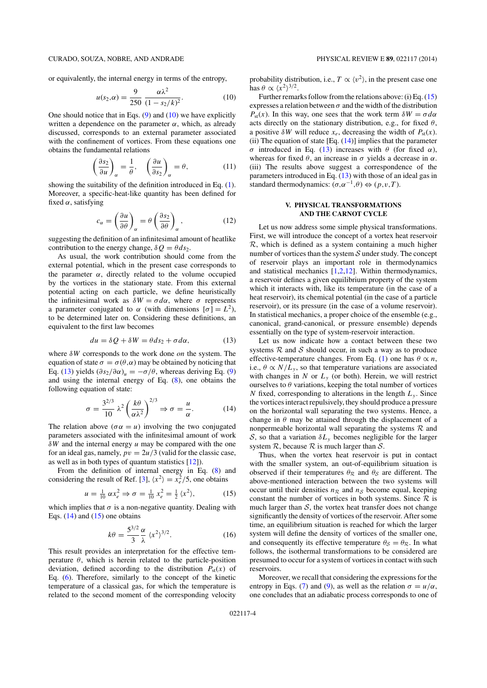or equivalently, the internal energy in terms of the entropy,

$$
u(s_2, \alpha) = \frac{9}{250} \frac{\alpha \lambda^2}{(1 - s_2/k)^2}.
$$
 (10)

One should notice that in Eqs.  $(9)$  and  $(10)$  we have explicitly written a dependence on the parameter  $\alpha$ , which, as already discussed, corresponds to an external parameter associated with the confinement of vortices. From these equations one obtains the fundamental relations

$$
\left(\frac{\partial s_2}{\partial u}\right)_{\alpha} = \frac{1}{\theta}, \quad \left(\frac{\partial u}{\partial s_2}\right)_{\alpha} = \theta,\tag{11}
$$

showing the suitability of the definition introduced in Eq. (1). Moreover, a specific-heat-like quantity has been defined for fixed  $\alpha$ , satisfying

$$
c_{\alpha} = \left(\frac{\partial u}{\partial \theta}\right)_{\alpha} = \theta \left(\frac{\partial s_2}{\partial \theta}\right)_{\alpha},\tag{12}
$$

suggesting the definition of an infinitesimal amount of heatlike contribution to the energy change,  $\delta Q = \theta ds_2$ .

As usual, the work contribution should come from the external potential, which in the present case corresponds to the parameter  $\alpha$ , directly related to the volume occupied by the vortices in the stationary state. From this external potential acting on each particle, we define heuristically the infinitesimal work as  $\delta W = \sigma d\alpha$ , where  $\sigma$  represents a parameter conjugated to  $\alpha$  (with dimensions  $[\sigma] = L^2$ ), to be determined later on. Considering these definitions, an equivalent to the first law becomes

$$
du = \delta Q + \delta W = \theta ds_2 + \sigma d\alpha, \qquad (13)
$$

where  $\delta W$  corresponds to the work done *on* the system. The equation of state  $\sigma = \sigma(\theta, \alpha)$  may be obtained by noticing that Eq. (13) yields  $(\partial s_2/\partial \alpha)_u = -\sigma/\theta$ , whereas deriving Eq. (9) and using the internal energy of Eq. (8), one obtains the following equation of state:

$$
\sigma = \frac{3^{2/3}}{10} \lambda^2 \left(\frac{k\theta}{\alpha\lambda^2}\right)^{2/3} \Rightarrow \sigma = \frac{u}{\alpha}.
$$
 (14)

The relation above ( $\sigma \alpha = u$ ) involving the two conjugated parameters associated with the infinitesimal amount of work  $\delta W$  and the internal energy u may be compared with the one for an ideal gas, namely,  $pv = 2u/3$  (valid for the classic case, as well as in both types of quantum statistics [12]).

From the definition of internal energy in Eq. (8) and considering the result of Ref. [3],  $\langle x^2 \rangle = x_e^2/5$ , one obtains

$$
u = \frac{1}{10} \alpha x_e^2 \Rightarrow \sigma = \frac{1}{10} x_e^2 = \frac{1}{2} \langle x^2 \rangle,
$$
 (15)

which implies that  $\sigma$  is a non-negative quantity. Dealing with Eqs.  $(14)$  and  $(15)$  one obtains

$$
k\theta = \frac{5^{3/2}}{3} \frac{\alpha}{\lambda} \langle x^2 \rangle^{3/2}.
$$
 (16)

This result provides an interpretation for the effective temperature  $\theta$ , which is herein related to the particle-position deviation, defined according to the distribution  $P_{st}(x)$  of Eq. (6). Therefore, similarly to the concept of the kinetic temperature of a classical gas, for which the temperature is related to the second moment of the corresponding velocity probability distribution, i.e.,  $T \propto \langle v^2 \rangle$ , in the present case one has  $\theta \propto \langle x^2 \rangle^{3/2}$ .

Further remarks follow from the relations above: (i) Eq. (15) expresses a relation between  $\sigma$  and the width of the distribution  $P_{st}(x)$ . In this way, one sees that the work term  $\delta W = \sigma d\alpha$ acts directly on the stationary distribution, e.g., for fixed  $\theta$ , a positive  $\delta W$  will reduce  $x_e$ , decreasing the width of  $P_{st}(x)$ .  $(ii)$  The equation of state [Eq.  $(14)$ ] implies that the parameter σ introduced in Eq. (13) increases with θ (for fixed α), whereas for fixed  $\theta$ , an increase in  $\sigma$  yields a decrease in  $\alpha$ . (iii) The results above suggest a correspondence of the parameters introduced in Eq. (13) with those of an ideal gas in standard thermodynamics:  $(\sigma, \alpha^{-1}, \theta) \Leftrightarrow (p, v, T)$ .

# **V. PHYSICAL TRANSFORMATIONS AND THE CARNOT CYCLE**

Let us now address some simple physical transformations. First, we will introduce the concept of a vortex heat reservoir  $R$ , which is defined as a system containing a much higher number of vortices than the system  $S$  under study. The concept of reservoir plays an important role in thermodynamics and statistical mechanics [1,2,12]. Within thermodynamics, a reservoir defines a given equilibrium property of the system which it interacts with, like its temperature (in the case of a heat reservoir), its chemical potential (in the case of a particle reservoir), or its pressure (in the case of a volume reservoir). In statistical mechanics, a proper choice of the ensemble (e.g., canonical, grand-canonical, or pressure ensemble) depends essentially on the type of system-reservoir interaction.

Let us now indicate how a contact between these two systems  $R$  and  $S$  should occur, in such a way as to produce effective-temperature changes. From Eq. (1) one has  $\theta \propto n$ , i.e.,  $\theta \propto N/L_v$ , so that temperature variations are associated with changes in N or  $L<sub>v</sub>$  (or both). Herein, we will restrict ourselves to  $\theta$  variations, keeping the total number of vortices N fixed, corresponding to alterations in the length  $L<sub>v</sub>$ . Since the vortices interact repulsively, they should produce a pressure on the horizontal wall separating the two systems. Hence, a change in  $\theta$  may be attained through the displacement of a nonpermeable horizontal wall separating the systems  $R$  and S, so that a variation  $\delta L_{v}$  becomes negligible for the larger system  $R$ , because  $R$  is much larger than  $S$ .

Thus, when the vortex heat reservoir is put in contact with the smaller system, an out-of-equilibrium situation is observed if their temperatures  $\theta_R$  and  $\theta_S$  are different. The above-mentioned interaction between the two systems will occur until their densities  $n_R$  and  $n_S$  become equal, keeping constant the number of vortices in both systems. Since  $R$  is much larger than  $S$ , the vortex heat transfer does not change significantly the density of vortices of the reservoir. After some time, an equilibrium situation is reached for which the larger system will define the density of vortices of the smaller one, and consequently its effective temperature  $\theta_S = \theta_R$ . In what follows, the isothermal transformations to be considered are presumed to occur for a system of vortices in contact with such reservoirs.

Moreover, we recall that considering the expressions for the entropy in Eqs. (7) and (9), as well as the relation  $\sigma = u/\alpha$ , one concludes that an adiabatic process corresponds to one of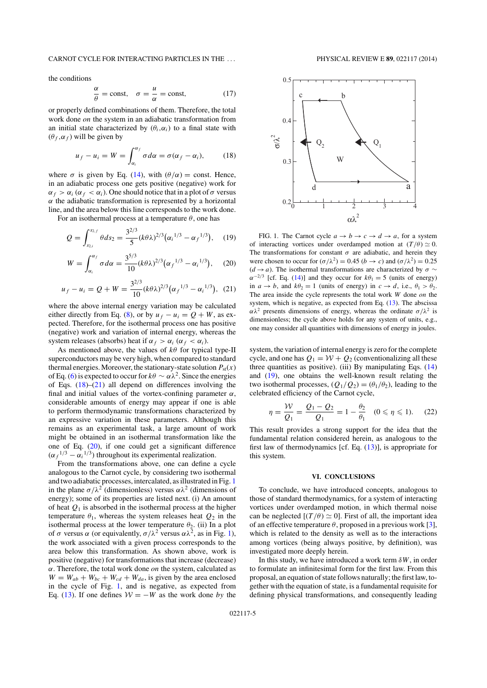#### CARNOT CYCLE FOR INTERACTING PARTICLES IN THE . . . PHYSICAL REVIEW E **89**, 022117 (2014)

the conditions

$$
\frac{\alpha}{\theta} = \text{const}, \quad \sigma = \frac{u}{\alpha} = \text{const}, \tag{17}
$$

or properly defined combinations of them. Therefore, the total work done on the system in an adiabatic transformation from an initial state characterized by  $(\theta_i, \alpha_i)$  to a final state with  $(\theta_f, \alpha_f)$  will be given by

$$
u_f - u_i = W = \int_{\alpha_i}^{\alpha_f} \sigma d\alpha = \sigma(\alpha_f - \alpha_i), \quad (18)
$$

where  $\sigma$  is given by Eq. (14), with  $(\theta/\alpha) = \text{const.}$  Hence, in an adiabatic process one gets positive (negative) work for  $\alpha_f > \alpha_i$  ( $\alpha_f < \alpha_i$ ). One should notice that in a plot of  $\sigma$  versus  $\alpha$  the adiabatic transformation is represented by a horizontal line, and the area below this line corresponds to the work done.

For an isothermal process at a temperature  $\theta$ , one has

$$
Q = \int_{s_{2,i}}^{s_{2,f}} \theta ds_2 = \frac{3^{2/3}}{5} (k \theta \lambda)^{2/3} (\alpha_i^{1/3} - \alpha_f^{1/3}), \quad (19)
$$

$$
W = \int_{\alpha_i}^{\alpha_f} \sigma d\alpha = \frac{3^{5/3}}{10} (k\theta \lambda)^{2/3} (\alpha_f^{-1/3} - \alpha_i^{-1/3}), \quad (20)
$$

$$
u_f - u_i = Q + W = \frac{3^{2/3}}{10} (k \theta \lambda)^{2/3} (\alpha_f^{-1/3} - \alpha_i^{-1/3}), \tag{21}
$$

where the above internal energy variation may be calculated either directly from Eq. (8), or by  $u_f - u_i = Q + W$ , as expected. Therefore, for the isothermal process one has positive (negative) work and variation of internal energy, whereas the system releases (absorbs) heat if  $\alpha_f > \alpha_i$  ( $\alpha_f < \alpha_i$ ).

As mentioned above, the values of  $k\theta$  for typical type-II superconductors may be very high, when compared to standard thermal energies. Moreover, the stationary-state solution  $P_{st}(x)$ of Eq. (6) is expected to occur for  $k\theta \sim \alpha \lambda^2$ . Since the energies of Eqs.  $(18)$ – $(21)$  all depend on differences involving the final and initial values of the vortex-confining parameter  $\alpha$ , considerable amounts of energy may appear if one is able to perform thermodynamic transformations characterized by an expressive variation in these parameters. Although this remains as an experimental task, a large amount of work might be obtained in an isothermal transformation like the one of Eq. (20), if one could get a significant difference  $(\alpha_f^{1/3} - \alpha_i^{1/3})$  throughout its experimental realization.

From the transformations above, one can define a cycle analogous to the Carnot cycle, by considering two isothermal and two adiabatic processes, intercalated, as illustrated in Fig. 1 in the plane  $\sigma/\lambda^2$  (dimensionless) versus  $\alpha\lambda^2$  (dimensions of energy); some of its properties are listed next. (i) An amount of heat  $Q_1$  is absorbed in the isothermal process at the higher temperature  $\theta_1$ , whereas the system releases heat  $Q_2$  in the isothermal process at the lower temperature  $\theta_2$ . (ii) In a plot of  $\sigma$  versus  $\alpha$  (or equivalently,  $\sigma/\lambda^2$  versus  $\alpha\lambda^2$ , as in Fig. 1), the work associated with a given process corresponds to the area below this transformation. As shown above, work is positive (negative) for transformations that increase (decrease)  $\alpha$ . Therefore, the total work done *on* the system, calculated as  $W = W_{ab} + W_{bc} + W_{cd} + W_{da}$ , is given by the area enclosed in the cycle of Fig. 1, and is negative, as expected from Eq. (13). If one defines  $W = -W$  as the work done by the



FIG. 1. The Carnot cycle  $a \rightarrow b \rightarrow c \rightarrow d \rightarrow a$ , for a system of interacting vortices under overdamped motion at  $(T/\theta) \simeq 0$ . The transformations for constant  $\sigma$  are adiabatic, and herein they were chosen to occur for  $(\sigma/\lambda^2) = 0.45$   $(b \rightarrow c)$  and  $(\sigma/\lambda^2) = 0.25$  $(d \rightarrow a)$ . The isothermal transformations are characterized by  $\sigma \sim$  $\alpha^{-2/3}$  [cf. Eq. (14)] and they occur for  $k\theta_1 = 5$  (units of energy) in  $a \rightarrow b$ , and  $k\theta_2 = 1$  (units of energy) in  $c \rightarrow d$ , i.e.,  $\theta_1 > \theta_2$ . The area inside the cycle represents the total work  $W$  done  $\text{o}n$  the system, which is negative, as expected from Eq. (13). The abscissa  $\alpha \lambda^2$  presents dimensions of energy, whereas the ordinate  $\sigma/\lambda^2$  is dimensionless; the cycle above holds for any system of units, e.g., one may consider all quantities with dimensions of energy in joules.

system, the variation of internal energy is zero for the complete cycle, and one has  $Q_1 = W + Q_2$  (conventionalizing all these three quantities as positive). (iii) By manipulating Eqs.  $(14)$ and (19), one obtains the well-known result relating the two isothermal processes,  $(Q_1/Q_2) = (\theta_1/\theta_2)$ , leading to the celebrated efficiency of the Carnot cycle,

$$
\eta = \frac{W}{Q_1} = \frac{Q_1 - Q_2}{Q_1} = 1 - \frac{\theta_2}{\theta_1} \quad (0 \le \eta \le 1). \tag{22}
$$

This result provides a strong support for the idea that the fundamental relation considered herein, as analogous to the first law of thermodynamics [cf. Eq.  $(13)$ ], is appropriate for this system.

# **VI. CONCLUSIONS**

To conclude, we have introduced concepts, analogous to those of standard thermodynamics, for a system of interacting vortices under overdamped motion, in which thermal noise can be neglected  $[(T/\theta) \simeq 0]$ . First of all, the important idea of an effective temperature  $\theta$ , proposed in a previous work [3], which is related to the density as well as to the interactions among vortices (being always positive, by definition), was investigated more deeply herein.

In this study, we have introduced a work term  $\delta W$ , in order to formulate an infinitesimal form for the first law. From this proposal, an equation of state follows naturally; the first law, together with the equation of state, is a fundamental requisite for defining physical transformations, and consequently leading